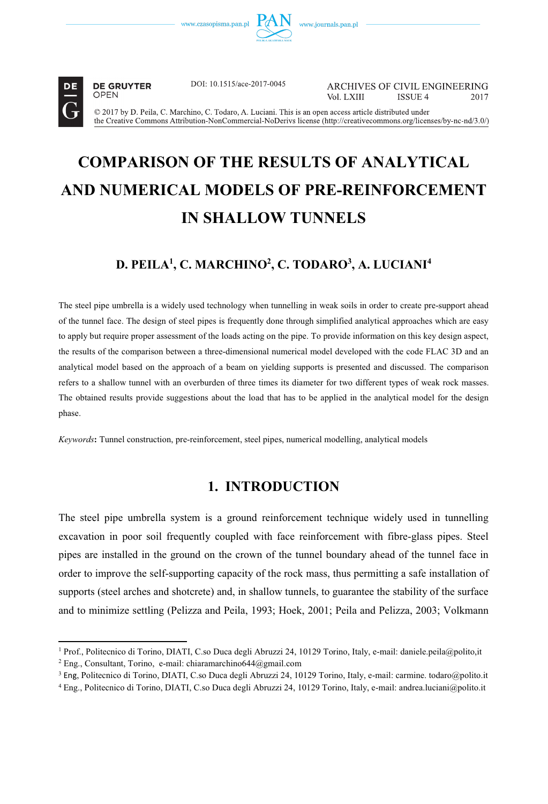



----------------------------------------------------------

**DE GRUYTER** 

DOI: 10.1515/ace-2017-0045

**ARCHIVES OF CIVIL ENGINEERING** Vol LXIII ISSUE 4 2017

© 2017 by D. Peila, C. Marchino, C. Todaro, A. Luciani. This is an open access article distributed under the Creative Commons Attribution-NonCommercial-NoDerivs license (http://creativecommons.org/licenses/by-nc-nd/3.0/)

# **COMPARISON OF THE RESULTS OF ANALYTICAL AND NUMERICAL MODELS OF PRE-REINFORCEMENT IN SHALLOW TUNNELS**

# **D. PEILA1 , C. MARCHINO2 , C. TODARO3 , A. LUCIANI4**

The steel pipe umbrella is a widely used technology when tunnelling in weak soils in order to create pre-support ahead of the tunnel face. The design of steel pipes is frequently done through simplified analytical approaches which are easy to apply but require proper assessment of the loads acting on the pipe. To provide information on this key design aspect, the results of the comparison between a three-dimensional numerical model developed with the code FLAC 3D and an analytical model based on the approach of a beam on yielding supports is presented and discussed. The comparison refers to a shallow tunnel with an overburden of three times its diameter for two different types of weak rock masses. The obtained results provide suggestions about the load that has to be applied in the analytical model for the design phase.

*Keywords***:** Tunnel construction, pre-reinforcement, steel pipes, numerical modelling, analytical models

# **1. INTRODUCTION**

The steel pipe umbrella system is a ground reinforcement technique widely used in tunnelling excavation in poor soil frequently coupled with face reinforcement with fibre-glass pipes. Steel pipes are installed in the ground on the crown of the tunnel boundary ahead of the tunnel face in order to improve the self-supporting capacity of the rock mass, thus permitting a safe installation of supports (steel arches and shotcrete) and, in shallow tunnels, to guarantee the stability of the surface and to minimize settling (Pelizza and Peila, 1993; Hoek, 2001; Peila and Pelizza, 2003; Volkmann

<sup>&</sup>lt;sup>1</sup> Prof., Politecnico di Torino, DIATI, C.so Duca degli Abruzzi 24, 10129 Torino, Italy, e-mail: daniele.peila@polito,it <sup>2</sup> Eng. Consultant Torino, e-mail: chiaramarchino644@gmail.com

Eng., Consultant, Torino, e-mail: chiaramarchino644@gmail.com

<sup>&</sup>lt;sup>3</sup> Eng, Politecnico di Torino, DIATI, C.so Duca degli Abruzzi 24, 10129 Torino, Italy, e-mail: carmine. todaro@polito.it

<sup>4</sup> Eng., Politecnico di Torino, DIATI, C.so Duca degli Abruzzi 24, 10129 Torino, Italy, e-mail: andrea.luciani@polito.it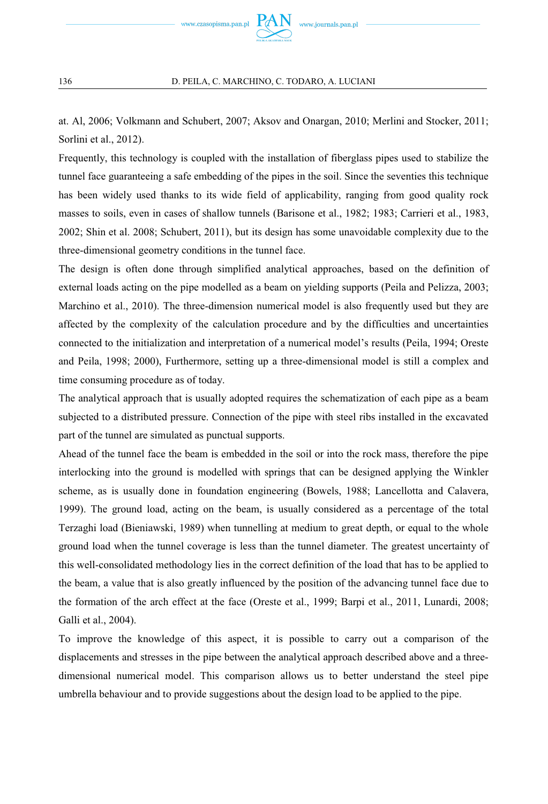

at. Al, 2006; Volkmann and Schubert, 2007; Aksov and Onargan, 2010; Merlini and Stocker, 2011; Sorlini et al., 2012).

Frequently, this technology is coupled with the installation of fiberglass pipes used to stabilize the tunnel face guaranteeing a safe embedding of the pipes in the soil. Since the seventies this technique has been widely used thanks to its wide field of applicability, ranging from good quality rock masses to soils, even in cases of shallow tunnels (Barisone et al., 1982; 1983; Carrieri et al., 1983, 2002; Shin et al. 2008; Schubert, 2011), but its design has some unavoidable complexity due to the three-dimensional geometry conditions in the tunnel face.

The design is often done through simplified analytical approaches, based on the definition of external loads acting on the pipe modelled as a beam on yielding supports (Peila and Pelizza, 2003; Marchino et al., 2010). The three-dimension numerical model is also frequently used but they are affected by the complexity of the calculation procedure and by the difficulties and uncertainties connected to the initialization and interpretation of a numerical model's results (Peila, 1994; Oreste and Peila, 1998; 2000), Furthermore, setting up a three-dimensional model is still a complex and time consuming procedure as of today.

The analytical approach that is usually adopted requires the schematization of each pipe as a beam subjected to a distributed pressure. Connection of the pipe with steel ribs installed in the excavated part of the tunnel are simulated as punctual supports.

Ahead of the tunnel face the beam is embedded in the soil or into the rock mass, therefore the pipe interlocking into the ground is modelled with springs that can be designed applying the Winkler scheme, as is usually done in foundation engineering (Bowels, 1988; Lancellotta and Calavera, 1999). The ground load, acting on the beam, is usually considered as a percentage of the total Terzaghi load (Bieniawski, 1989) when tunnelling at medium to great depth, or equal to the whole ground load when the tunnel coverage is less than the tunnel diameter. The greatest uncertainty of this well-consolidated methodology lies in the correct definition of the load that has to be applied to the beam, a value that is also greatly influenced by the position of the advancing tunnel face due to the formation of the arch effect at the face (Oreste et al., 1999; Barpi et al., 2011, Lunardi, 2008; Galli et al., 2004).

To improve the knowledge of this aspect, it is possible to carry out a comparison of the displacements and stresses in the pipe between the analytical approach described above and a threedimensional numerical model. This comparison allows us to better understand the steel pipe umbrella behaviour and to provide suggestions about the design load to be applied to the pipe.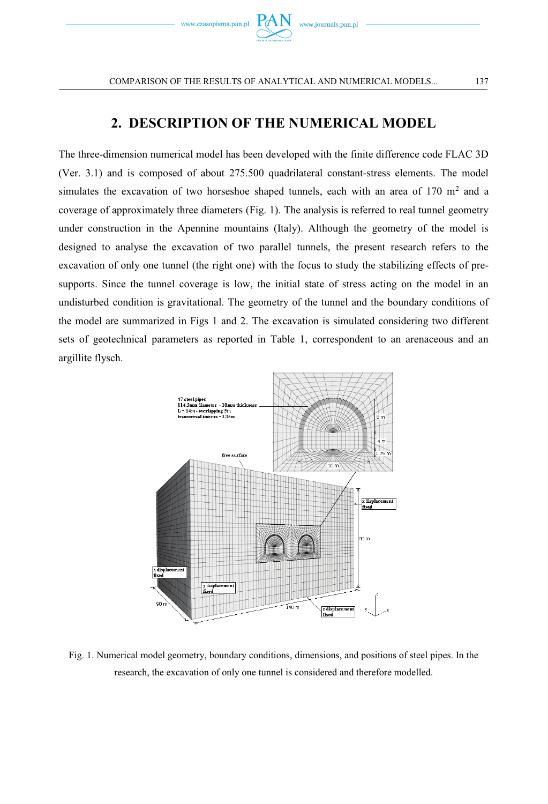

# **2. DESCRIPTION OF THE NUMERICAL MODEL**

The three-dimension numerical model has been developed with the finite difference code FLAC 3D (Ver. 3.1) and is composed of about 275.500 quadrilateral constant-stress elements. The model simulates the excavation of two horseshoe shaped tunnels, each with an area of  $170 \text{ m}^2$  and a coverage of approximately three diameters (Fig. 1). The analysis is referred to real tunnel geometry under construction in the Apennine mountains (Italy). Although the geometry of the model is designed to analyse the excavation of two parallel tunnels, the present research refers to the excavation of only one tunnel (the right one) with the focus to study the stabilizing effects of presupports. Since the tunnel coverage is low, the initial state of stress acting on the model in an undisturbed condition is gravitational. The geometry of the tunnel and the boundary conditions of the model are summarized in Figs 1 and 2. The excavation is simulated considering two different sets of geotechnical parameters as reported in Table 1, correspondent to an arenaceous and an argillite flysch.



Fig. 1. Numerical model geometry, boundary conditions, dimensions, and positions of steel pipes. In the research, the excavation of only one tunnel is considered and therefore modelled.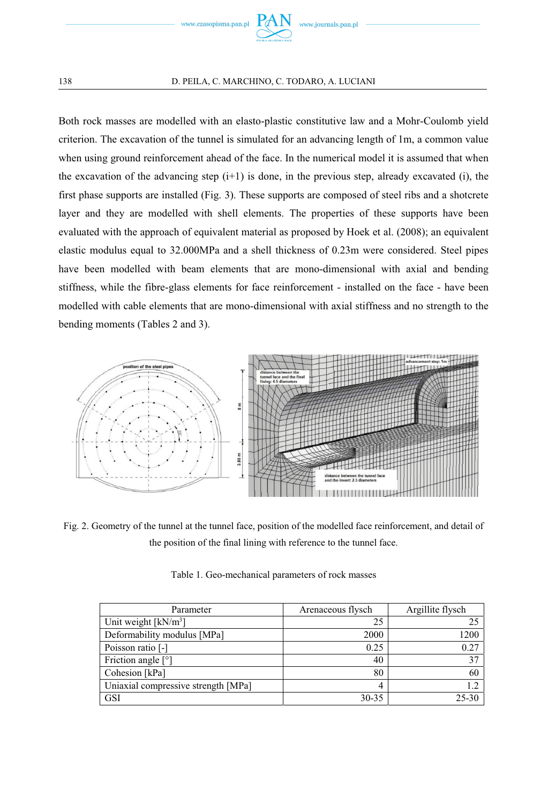

Both rock masses are modelled with an elasto-plastic constitutive law and a Mohr-Coulomb yield criterion. The excavation of the tunnel is simulated for an advancing length of 1m, a common value when using ground reinforcement ahead of the face. In the numerical model it is assumed that when the excavation of the advancing step  $(i+1)$  is done, in the previous step, already excavated (i), the first phase supports are installed (Fig. 3). These supports are composed of steel ribs and a shotcrete layer and they are modelled with shell elements. The properties of these supports have been evaluated with the approach of equivalent material as proposed by Hoek et al. (2008); an equivalent elastic modulus equal to 32.000MPa and a shell thickness of 0.23m were considered. Steel pipes have been modelled with beam elements that are mono-dimensional with axial and bending stiffness, while the fibre-glass elements for face reinforcement - installed on the face - have been modelled with cable elements that are mono-dimensional with axial stiffness and no strength to the bending moments (Tables 2 and 3).



Fig. 2. Geometry of the tunnel at the tunnel face, position of the modelled face reinforcement, and detail of the position of the final lining with reference to the tunnel face.

| Parameter                           | Arenaceous flysch | Argillite flysch |
|-------------------------------------|-------------------|------------------|
| Unit weight $[kN/m^3]$              | 25                | 25               |
| Deformability modulus [MPa]         | 2000              | 1200             |
| Poisson ratio [-]                   | 0.25              | 0.27             |
| Friction angle $[°]$                | 40                | 37               |
| Cohesion [kPa]                      | 80                | 60               |
| Uniaxial compressive strength [MPa] | 4                 | 1.2              |
| <b>GSI</b>                          | $30 - 35$         | $25 - 30$        |

Table 1. Geo-mechanical parameters of rock masses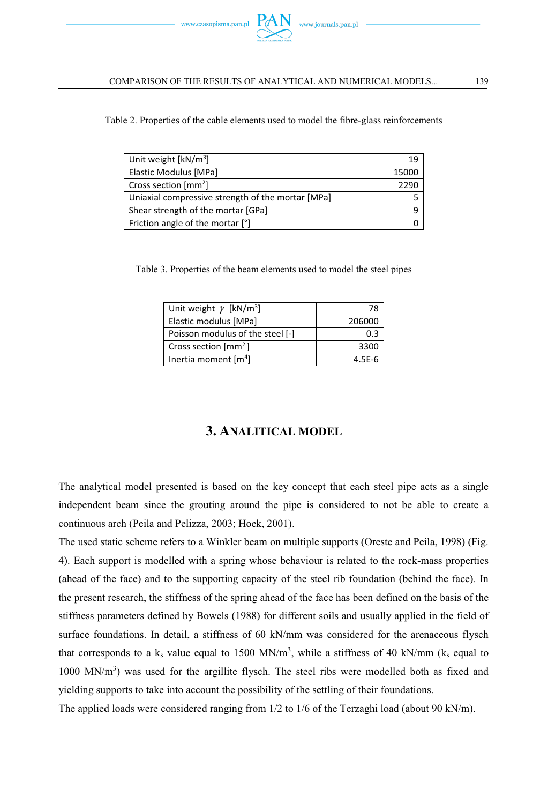

Table 2. Properties of the cable elements used to model the fibre-glass reinforcements

| Unit weight $[kN/m^3]$                            | 19    |
|---------------------------------------------------|-------|
| Elastic Modulus [MPa]                             | 15000 |
| Cross section $\text{[mm}^2$                      | 2290  |
| Uniaxial compressive strength of the mortar [MPa] |       |
| Shear strength of the mortar [GPa]                |       |
| Friction angle of the mortar [°]                  |       |

Table 3. Properties of the beam elements used to model the steel pipes

| Unit weight $\gamma$ [kN/m <sup>3</sup> ] |            |
|-------------------------------------------|------------|
| Elastic modulus [MPa]                     | 206000     |
| Poisson modulus of the steel [-]          | ก จ        |
| Cross section $\text{[mm}^2$ ]            | 3300       |
| Inertia moment $[m4]$                     | $4.5F - 6$ |

# **3. ANALITICAL MODEL**

The analytical model presented is based on the key concept that each steel pipe acts as a single independent beam since the grouting around the pipe is considered to not be able to create a continuous arch (Peila and Pelizza, 2003; Hoek, 2001).

The used static scheme refers to a Winkler beam on multiple supports (Oreste and Peila, 1998) (Fig. 4). Each support is modelled with a spring whose behaviour is related to the rock-mass properties (ahead of the face) and to the supporting capacity of the steel rib foundation (behind the face). In the present research, the stiffness of the spring ahead of the face has been defined on the basis of the stiffness parameters defined by Bowels (1988) for different soils and usually applied in the field of surface foundations. In detail, a stiffness of 60 kN/mm was considered for the arenaceous flysch that corresponds to a  $k_s$  value equal to 1500 MN/m<sup>3</sup>, while a stiffness of 40 kN/mm ( $k_s$  equal to  $1000$  MN/m<sup>3</sup>) was used for the argillite flysch. The steel ribs were modelled both as fixed and yielding supports to take into account the possibility of the settling of their foundations.

The applied loads were considered ranging from 1/2 to 1/6 of the Terzaghi load (about 90 kN/m).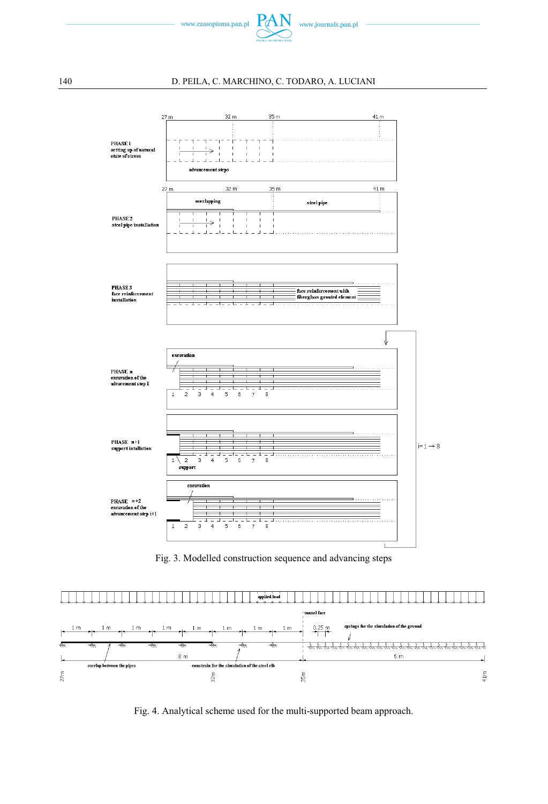



Fig. 3. Modelled construction sequence and advancing steps



Fig. 4. Analytical scheme used for the multi-supported beam approach.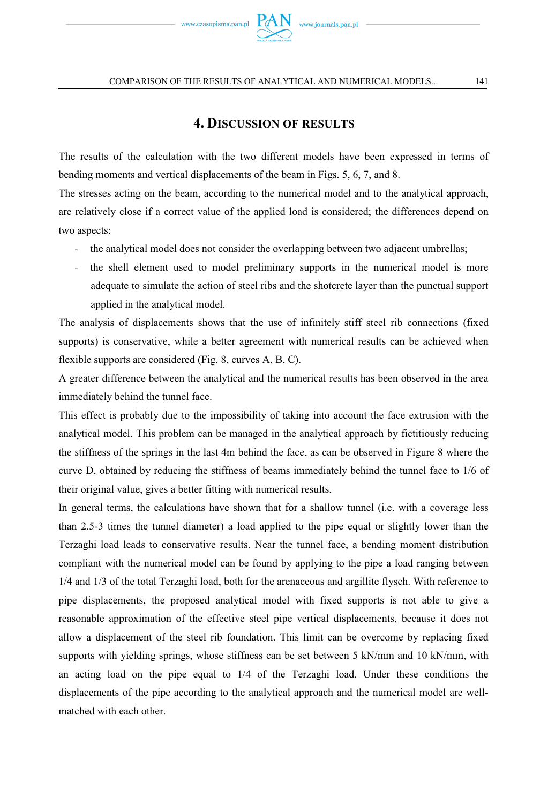

### **4. DISCUSSION OF RESULTS**

The results of the calculation with the two different models have been expressed in terms of bending moments and vertical displacements of the beam in Figs. 5, 6, 7, and 8.

The stresses acting on the beam, according to the numerical model and to the analytical approach, are relatively close if a correct value of the applied load is considered; the differences depend on two aspects:

- the analytical model does not consider the overlapping between two adjacent umbrellas;
- the shell element used to model preliminary supports in the numerical model is more adequate to simulate the action of steel ribs and the shotcrete layer than the punctual support applied in the analytical model.

The analysis of displacements shows that the use of infinitely stiff steel rib connections (fixed supports) is conservative, while a better agreement with numerical results can be achieved when flexible supports are considered (Fig. 8, curves A, B, C).

A greater difference between the analytical and the numerical results has been observed in the area immediately behind the tunnel face.

This effect is probably due to the impossibility of taking into account the face extrusion with the analytical model. This problem can be managed in the analytical approach by fictitiously reducing the stiffness of the springs in the last 4m behind the face, as can be observed in Figure 8 where the curve D, obtained by reducing the stiffness of beams immediately behind the tunnel face to 1/6 of their original value, gives a better fitting with numerical results.

In general terms, the calculations have shown that for a shallow tunnel (i.e. with a coverage less than 2.5-3 times the tunnel diameter) a load applied to the pipe equal or slightly lower than the Terzaghi load leads to conservative results. Near the tunnel face, a bending moment distribution compliant with the numerical model can be found by applying to the pipe a load ranging between 1/4 and 1/3 of the total Terzaghi load, both for the arenaceous and argillite flysch. With reference to pipe displacements, the proposed analytical model with fixed supports is not able to give a reasonable approximation of the effective steel pipe vertical displacements, because it does not allow a displacement of the steel rib foundation. This limit can be overcome by replacing fixed supports with yielding springs, whose stiffness can be set between 5 kN/mm and 10 kN/mm, with an acting load on the pipe equal to 1/4 of the Terzaghi load. Under these conditions the displacements of the pipe according to the analytical approach and the numerical model are wellmatched with each other.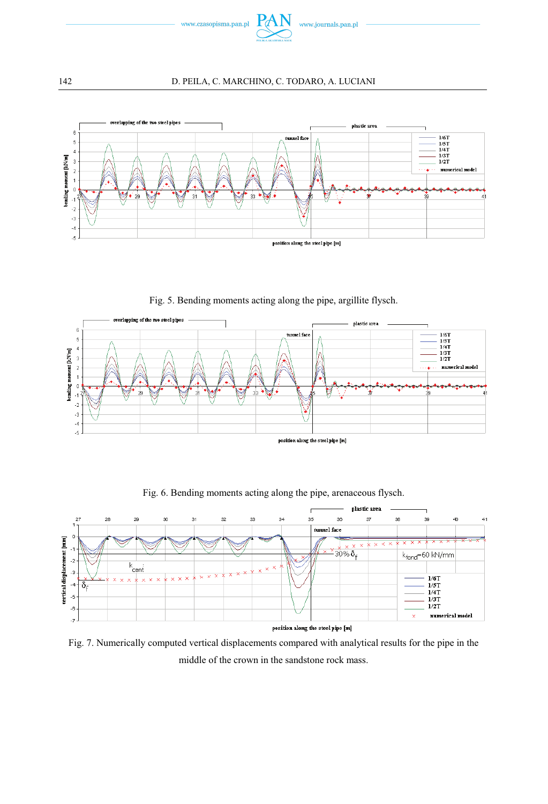



Fig. 5. Bending moments acting along the pipe, argillite flysch.





Fig. 6. Bending moments acting along the pipe, arenaceous flysch.

Fig. 7. Numerically computed vertical displacements compared with analytical results for the pipe in the middle of the crown in the sandstone rock mass.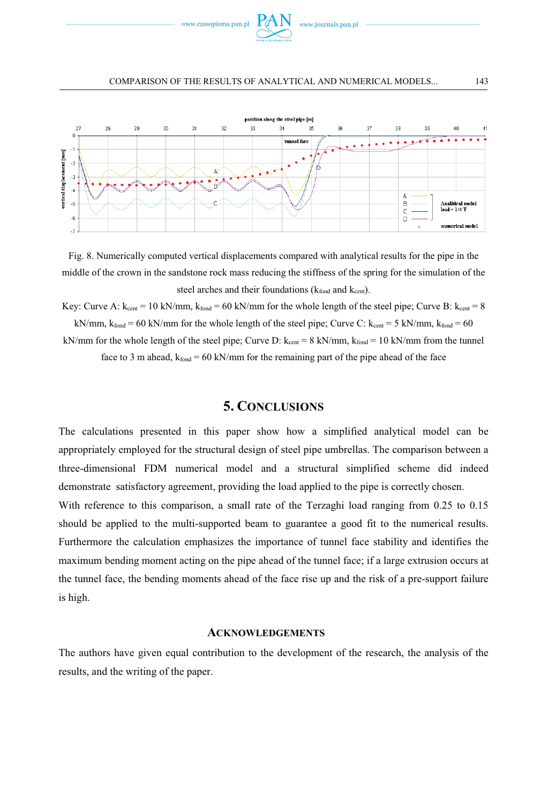



Fig. 8. Numerically computed vertical displacements compared with analytical results for the pipe in the middle of the crown in the sandstone rock mass reducing the stiffness of the spring for the simulation of the steel arches and their foundations  $(k_{\text{fond}}$  and  $k_{\text{cent}})$ .

Key: Curve A:  $k_{cent} = 10 \text{ kN/mm}$ ,  $k_{fond} = 60 \text{ kN/mm}$  for the whole length of the steel pipe; Curve B:  $k_{cent} = 8$ 

kN/mm,  $k_{\text{fond}} = 60$  kN/mm for the whole length of the steel pipe; Curve C:  $k_{\text{cent}} = 5$  kN/mm,  $k_{\text{fond}} = 60$ 

kN/mm for the whole length of the steel pipe; Curve D:  $k_{cent} = 8 \text{ kN/mm}$ ,  $k_{foot} = 10 \text{ kN/mm}$  from the tunnel face to 3 m ahead,  $k_{\text{fond}} = 60 \text{ kN/mm}$  for the remaining part of the pipe ahead of the face

### **5. CONCLUSIONS**

The calculations presented in this paper show how a simplified analytical model can be appropriately employed for the structural design of steel pipe umbrellas. The comparison between a three-dimensional FDM numerical model and a structural simplified scheme did indeed demonstrate satisfactory agreement, providing the load applied to the pipe is correctly chosen.

With reference to this comparison, a small rate of the Terzaghi load ranging from 0.25 to 0.15 should be applied to the multi-supported beam to guarantee a good fit to the numerical results. Furthermore the calculation emphasizes the importance of tunnel face stability and identifies the maximum bending moment acting on the pipe ahead of the tunnel face; if a large extrusion occurs at the tunnel face, the bending moments ahead of the face rise up and the risk of a pre-support failure is high.

### **ACKNOWLEDGEMENTS**

The authors have given equal contribution to the development of the research, the analysis of the results, and the writing of the paper.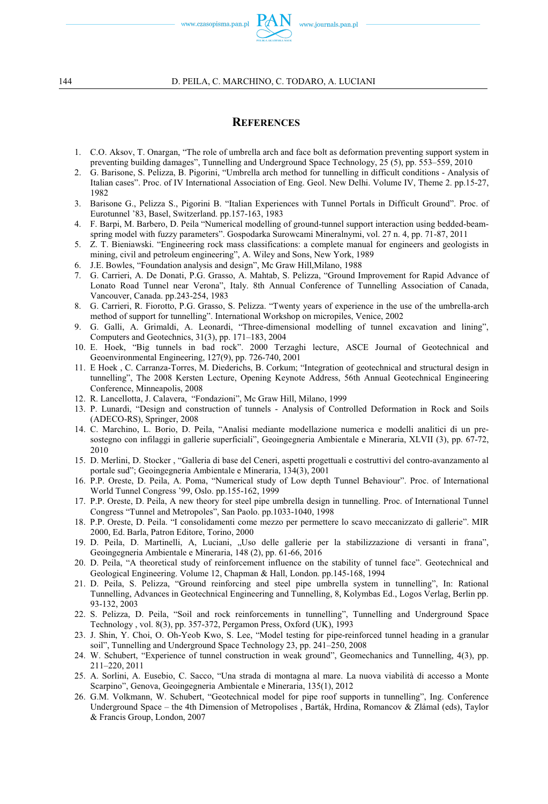

### **REFERENCES**

- 1. C.O. Aksov, T. Onargan, "The role of umbrella arch and face bolt as deformation preventing support system in preventing building damages", Tunnelling and Underground Space Technology, 25 (5), pp. 553–559, 2010
- 2. G. Barisone, S. Pelizza, B. Pigorini, "Umbrella arch method for tunnelling in difficult conditions Analysis of Italian cases". Proc. of IV International Association of Eng. Geol. New Delhi. Volume IV, Theme 2. pp.15-27, 1982
- 3. Barisone G., Pelizza S., Pigorini B. "Italian Experiences with Tunnel Portals in Difficult Ground". Proc. of Eurotunnel '83, Basel, Switzerland. pp.157-163, 1983
- 4. F. Barpi, M. Barbero, D. Peila "Numerical modelling of ground-tunnel support interaction using bedded-beamspring model with fuzzy parameters". Gospodarka Surowcami Mineralnymi, vol. 27 n. 4, pp. 71-87, 2011
- 5. Z. T. Bieniawski. "Engineering rock mass classifications: a complete manual for engineers and geologists in mining, civil and petroleum engineering", A. Wiley and Sons, New York, 1989
- 6. J.E. Bowles, "Foundation analysis and design", Mc Graw Hill,Milano, 1988
- 7. G. Carrieri, A. De Donati, P.G. Grasso, A. Mahtab, S. Pelizza, "Ground Improvement for Rapid Advance of Lonato Road Tunnel near Verona", Italy. 8th Annual Conference of Tunnelling Association of Canada, Vancouver, Canada. pp.243-254, 1983
- 8. G. Carrieri, R. Fiorotto, P.G. Grasso, S. Pelizza. "Twenty years of experience in the use of the umbrella-arch method of support for tunnelling". International Workshop on micropiles, Venice, 2002
- 9. G. Galli, A. Grimaldi, A. Leonardi, "Three-dimensional modelling of tunnel excavation and lining", Computers and Geotechnics, 31(3), pp. 171–183, 2004
- 10. E. Hoek, "Big tunnels in bad rock". 2000 Terzaghi lecture, ASCE Journal of Geotechnical and Geoenvironmental Engineering, 127(9), pp. 726-740, 2001
- 11. E Hoek , C. Carranza-Torres, M. Diederichs, B. Corkum; "Integration of geotechnical and structural design in tunnelling", The 2008 Kersten Lecture, Opening Keynote Address, 56th Annual Geotechnical Engineering Conference, Minneapolis, 2008
- 12. R. Lancellotta, J. Calavera, "Fondazioni", Mc Graw Hill, Milano, 1999
- 13. P. Lunardi, "Design and construction of tunnels Analysis of Controlled Deformation in Rock and Soils (ADECO-RS), Springer, 2008
- 14. C. Marchino, L. Borio, D. Peila, "Analisi mediante modellazione numerica e modelli analitici di un presostegno con infilaggi in gallerie superficiali", Geoingegneria Ambientale e Mineraria, XLVII (3), pp. 67-72, 2010
- 15. D. Merlini, D. Stocker , "Galleria di base del Ceneri, aspetti progettuali e costruttivi del contro-avanzamento al portale sud"; Geoingegneria Ambientale e Mineraria, 134(3), 2001
- 16. P.P. Oreste, D. Peila, A. Poma, "Numerical study of Low depth Tunnel Behaviour". Proc. of International World Tunnel Congress '99, Oslo. pp.155-162, 1999
- 17. P.P. Oreste, D. Peila, A new theory for steel pipe umbrella design in tunnelling. Proc. of International Tunnel Congress "Tunnel and Metropoles", San Paolo. pp.1033-1040, 1998
- 18. P.P. Oreste, D. Peila. "I consolidamenti come mezzo per permettere lo scavo meccanizzato di gallerie". MIR 2000, Ed. Barla, Patron Editore, Torino, 2000
- 19. D. Peila, D. Martinelli, A, Luciani, "Uso delle gallerie per la stabilizzazione di versanti in frana", Geoingegneria Ambientale e Mineraria, 148 (2), pp. 61-66, 2016
- 20. D. Peila, "A theoretical study of reinforcement influence on the stability of tunnel face". Geotechnical and Geological Engineering. Volume 12, Chapman & Hall, London. pp.145-168, 1994
- 21. D. Peila, S. Pelizza, "Ground reinforcing and steel pipe umbrella system in tunnelling", In: Rational Tunnelling, Advances in Geotechnical Engineering and Tunnelling, 8, Kolymbas Ed., Logos Verlag, Berlin pp. 93-132, 2003
- 22. S. Pelizza, D. Peila, "Soil and rock reinforcements in tunnelling", Tunnelling and Underground Space Technology , vol. 8(3), pp. 357-372, Pergamon Press, Oxford (UK), 1993
- 23. J. Shin, Y. Choi, O. Oh-Yeob Kwo, S. Lee, "Model testing for pipe-reinforced tunnel heading in a granular soil", Tunnelling and Underground Space Technology 23, pp. 241–250, 2008
- 24. W. Schubert, "Experience of tunnel construction in weak ground", Geomechanics and Tunnelling, 4(3), pp. 211–220, 2011
- 25. A. Sorlini, A. Eusebio, C. Sacco, "Una strada di montagna al mare. La nuova viabilità di accesso a Monte Scarpino", Genova, Geoingegneria Ambientale e Mineraria, 135(1), 2012
- 26. G.M. Volkmann, W. Schubert, "Geotechnical model for pipe roof supports in tunnelling", Ing. Conference Underground Space – the 4th Dimension of Metropolises , Barták, Hrdina, Romancov & Zlámal (eds), Taylor & Francis Group, London, 2007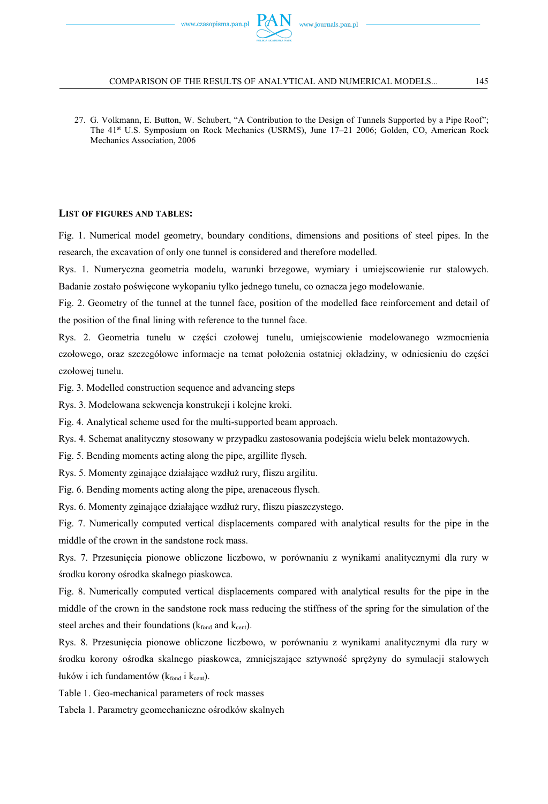27. G. Volkmann, E. Button, W. Schubert, "A Contribution to the Design of Tunnels Supported by a Pipe Roof"; The 41st U.S. Symposium on Rock Mechanics (USRMS), June 17–21 2006; Golden, CO, American Rock Mechanics Association, 2006

#### **LIST OF FIGURES AND TABLES:**

Fig. 1. Numerical model geometry, boundary conditions, dimensions and positions of steel pipes. In the research, the excavation of only one tunnel is considered and therefore modelled.

Rys. 1. Numeryczna geometria modelu, warunki brzegowe, wymiary i umiejscowienie rur stalowych. Badanie zostało poświęcone wykopaniu tylko jednego tunelu, co oznacza jego modelowanie.

Fig. 2. Geometry of the tunnel at the tunnel face, position of the modelled face reinforcement and detail of the position of the final lining with reference to the tunnel face.

Rys. 2. Geometria tunelu w części czołowej tunelu, umiejscowienie modelowanego wzmocnienia czołowego, oraz szczegółowe informacje na temat położenia ostatniej okładziny, w odniesieniu do części czołowej tunelu.

Fig. 3. Modelled construction sequence and advancing steps

Rys. 3. Modelowana sekwencja konstrukcji i kolejne kroki.

Fig. 4. Analytical scheme used for the multi-supported beam approach.

Rys. 4. Schemat analityczny stosowany w przypadku zastosowania podejścia wielu belek montażowych.

Fig. 5. Bending moments acting along the pipe, argillite flysch.

Rys. 5. Momenty zginające działające wzdłuż rury, fliszu argilitu.

Fig. 6. Bending moments acting along the pipe, arenaceous flysch.

Rys. 6. Momenty zginające działające wzdłuż rury, fliszu piaszczystego.

Fig. 7. Numerically computed vertical displacements compared with analytical results for the pipe in the middle of the crown in the sandstone rock mass.

Rys. 7. Przesunicia pionowe obliczone liczbowo, w porównaniu z wynikami analitycznymi dla rury w środku korony ośrodka skalnego piaskowca.

Fig. 8. Numerically computed vertical displacements compared with analytical results for the pipe in the middle of the crown in the sandstone rock mass reducing the stiffness of the spring for the simulation of the steel arches and their foundations ( $k_{\text{fond}}$  and  $k_{\text{cent}}$ ).

Rys. 8. Przesunicia pionowe obliczone liczbowo, w porównaniu z wynikami analitycznymi dla rury w środku korony ośrodka skalnego piaskowca, zmniejszające sztywność sprężyny do symulacji stalowych łuków i ich fundamentów (k<sub>fond</sub> i k<sub>cent</sub>).

Table 1. Geo-mechanical parameters of rock masses

Tabela 1. Parametry geomechaniczne ośrodków skalnych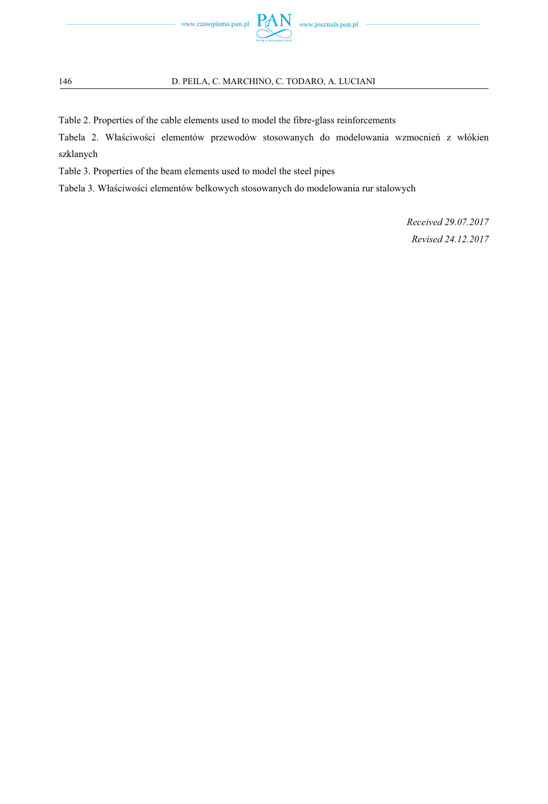

Table 2. Properties of the cable elements used to model the fibre-glass reinforcements

Tabela 2. Właściwości elementów przewodów stosowanych do modelowania wzmocnień z włókien szklanych

Table 3. Properties of the beam elements used to model the steel pipes

Tabela 3. Właściwości elementów belkowych stosowanych do modelowania rur stalowych

*Received 29.07.2017 Revised 24.12.2017*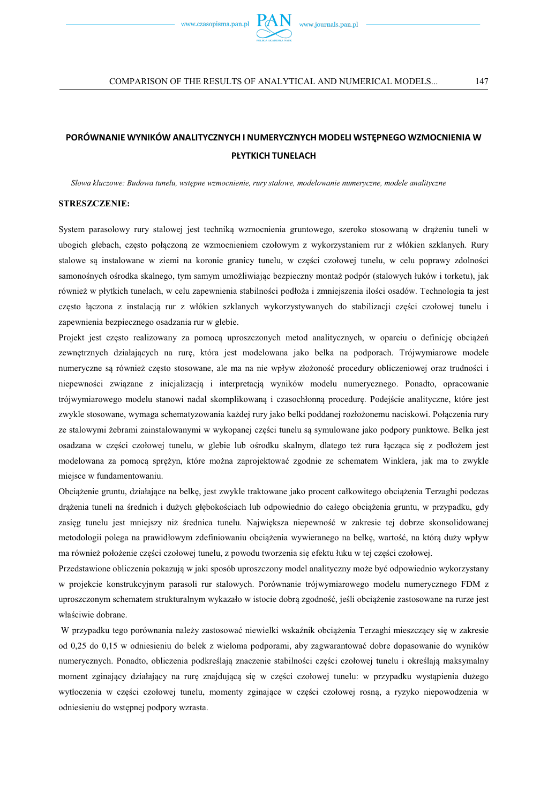

# PORÓWNANIE WYNIKÓW ANALITYCZNYCH I NUMERYCZNYCH MODELI WSTEPNEGO WZMOCNIENIA W **PLYTKICH TUNELACH**

Słowa kluczowe: Budowa tunelu, wstepne wzmocnienie, rury stalowe, modelowanie numeryczne, modele analityczne

#### **STRESZCZENIE:**

System parasolowy rury stalowej jest techniką wzmocnienia gruntowego, szeroko stosowaną w drążeniu tuneli w ubogich glebach, często połączoną ze wzmocnieniem czołowym z wykorzystaniem rur z włókien szklanych. Rury stalowe są instalowane w ziemi na koronie granicy tunelu, w części czołowej tunelu, w celu poprawy zdolności samonośnych ośrodka skalnego, tym samym umożliwiając bezpieczny montaż podpór (stalowych łuków i torketu), jak również w płytkich tunelach, w celu zapewnienia stabilności podłoża i zmniejszenia ilości osadów. Technologia ta jest często łączona z instalacją rur z włókien szklanych wykorzystywanych do stabilizacji części czołowej tunelu i zapewnienia bezpiecznego osadzania rur w glebie.

Projekt jest często realizowany za pomocą uproszczonych metod analitycznych, w oparciu o definicję obciążeń zewnętrznych działających na rurę, która jest modelowana jako belka na podporach. Trójwymiarowe modele numeryczne są również często stosowane, ale ma na nie wpływ złożoność procedury obliczeniowej oraz trudności i niepewności związane z inicjalizacją i interpretacją wyników modelu numerycznego. Ponadto, opracowanie trójwymiarowego modelu stanowi nadal skomplikowaną i czasochłonną procedurę. Podejście analityczne, które jest zwykle stosowane, wymaga schematyzowania każdej rury jako belki poddanej rozłożonemu naciskowi. Połączenia rury ze stalowymi żebrami zainstalowanymi w wykopanej części tunelu są symulowane jako podpory punktowe. Belka jest osadzana w części czołowej tunelu, w glebie lub ośrodku skalnym, dlatego też rura łącząca się z podłożem jest modelowana za pomocą sprężyn, które można zaprojektować zgodnie ze schematem Winklera, jak ma to zwykle miejsce w fundamentowaniu.

Obciążenie gruntu, działające na belkę, jest zwykle traktowane jako procent całkowitego obciążenia Terzaghi podczas drążenia tuneli na średnich i dużych głębokościach lub odpowiednio do całego obciążenia gruntu, w przypadku, gdy zasięg tunelu jest mniejszy niż średnica tunelu. Największa niepewność w zakresie tej dobrze skonsolidowanej metodologii polega na prawidłowym zdefiniowaniu obciążenia wywieranego na belkę, wartość, na którą duży wpływ ma również położenie części czołowej tunelu, z powodu tworzenia się efektu łuku w tej części czołowej.

Przedstawione obliczenia pokazują w jaki sposób uproszczony model analityczny może być odpowiednio wykorzystany w projekcie konstrukcyjnym parasoli rur stalowych. Porównanie trójwymiarowego modelu numerycznego FDM z uproszczonym schematem strukturalnym wykazało w istocie dobrą zgodność, jeśli obciążenie zastosowane na rurze jest właściwie dobrane.

W przypadku tego porównania należy zastosować niewielki wskaźnik obciażenia Terzaghi mieszczacy się w zakresie od 0,25 do 0,15 w odniesieniu do belek z wieloma podporami, aby zagwarantować dobre dopasowanie do wyników numerycznych. Ponadto, obliczenia podkreślają znaczenie stabilności części czołowej tunelu i określają maksymalny moment zginający działający na rurę znajdującą się w części czołowej tunelu: w przypadku wystąpienia dużego wytłoczenia w części czołowej tunelu, momenty zginające w części czołowej rosną, a ryzyko niepowodzenia w odniesieniu do wstpnej podpory wzrasta.